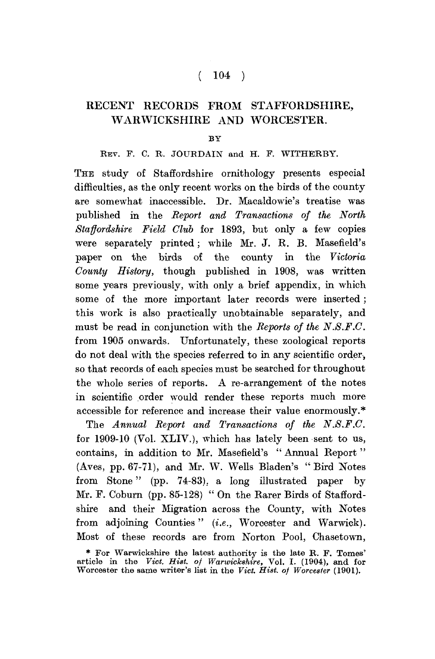## $(104)$

# RECENT RECORDS FROM STAFFORDSHIRE, WARWICKSHIRE AND WORCESTER.

#### BY

### REV. F. C. R. JOURDAIN and H. F. WITHERBY.

THE study of Staffordshire ornithology presents especial difficulties, as the only recent works on the birds of the county are somewhat inaccessible. Dr. Macaldowie's treatise was published in the *Report and Transactions of the North Staffordshire Field Club* for 1893, but only a few copies were separately printed; while Mr. J. R. B. Masefield's paper on the birds of the county in the *Victoria County History,* though published in 1908, was written some years previously, with only a brief appendix, in which some of the more important later records were inserted ; this work is also practically unobtainable separately, and must be read in conjunction with the *Reports of the N.S.F.C.*  from 1905 onwards. Unfortunately, these zoological reports do not deal with the species referred to in any scientific order, so that records of each species must be searched for throughout the whole series of reports. A re-arrangement of the notes in scientific order would render these reports much more accessible for reference and increase their value enormously.\*

The *Annual Report and Transactions of the N.S.F.C.*  for 1909-10 (Vol. XLIV.), which has lately been sent to us, contains, in addition to Mr. Masefield's " Annual Report " (Aves, pp. 67-71), and Mr. W. Wells Bladen's " Bird Notes from Stone" (pp. 74-83). a long illustrated paper by Mr. F. Coburn (pp. 85-128) " On the Rarer Birds of Staffordshire and their Migration across the County, with Notes from adjoining Counties" *(i.e.,* Worcester and Warwick). Most of these records are from Norton Pool, Chasetown,

<sup>\*</sup> For Warwickshire the latest authority is the late R. F. Tomes' article in the *Vict. Hist, of Warwickshire,* Vol. I. (1904), and for Worcester the same writer's list in the *Vict. Hist, of Worcester* (1901).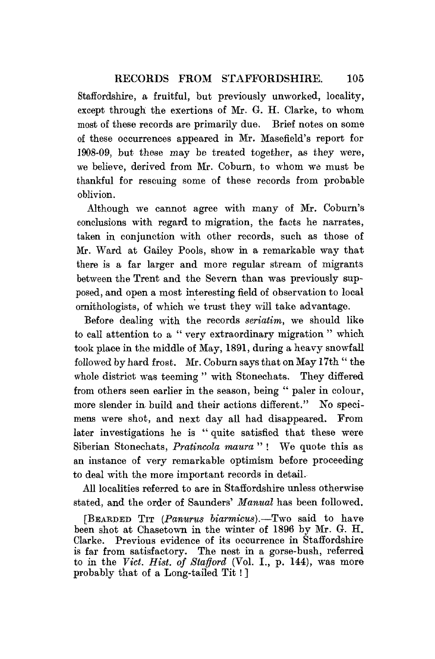### RECORDS FROM STAFFORDSHIRE. 105

Staffordshire, a fruitful, but previously unworked, locality, except through the exertions of Mr. G. H. Clarke, to whom most of these records are primarily due. Brief notes on some of these occurrences appeared in Mr, Masefield's report for 1908-09, but these may be treated together, as they were, we believe, derived from Mr. Coburn, to whom we must be thankful for rescuing some of these records from probable oblivion.

Although we cannot agree with many of Mr, Coburn's conclusions with regard to migration, the facts he narrates, taken in conjunction with other records, such as those of Mr. Ward at Gailey Pools, show in a remarkable way that there is a far larger and more regular stream of migrants between the Trent and the Severn than was previously supposed, and open a most interesting field of observation to local ornithologists, of which we trust they will take advantage.

Before dealing with the records *seriatim,* we should like to call attention to a " very extraordinary migration " which took place in the middle of May, 1891, during a heavy snowfall followed by hard frost. Mr. Coburn says that on May 17th " the whole district was teeming" with Stonechats. They differed from others seen earlier in the season, being " paler in colour, more slender in. build and their actions different." No specimens were shot, and next day all had disappeared. From later investigations he is " quite satisfied that these were Siberian Stonechats, *Pratincola maura* " ! We quote this as an instance of very remarkable optimism before proceeding to deal with the more important records in detail.

All localities referred to are in Staffordshire unless otherwise stated, and the order of Saunders' *Manual* has been followed.

[BEARDED TIT *{Panurus biarmicm),*—Two said to have been shot at Chasetown in the winter of 1896 by Mr, G. H. Clarke. Previous evidence of its occurrence in Staffordshire is far from satisfactory. The nest in a gorse-bush, referred to in the *Vict. Hist, of Stafford* (Vol. I., p. 144), was more probably that of a Long-tailed Tit! ]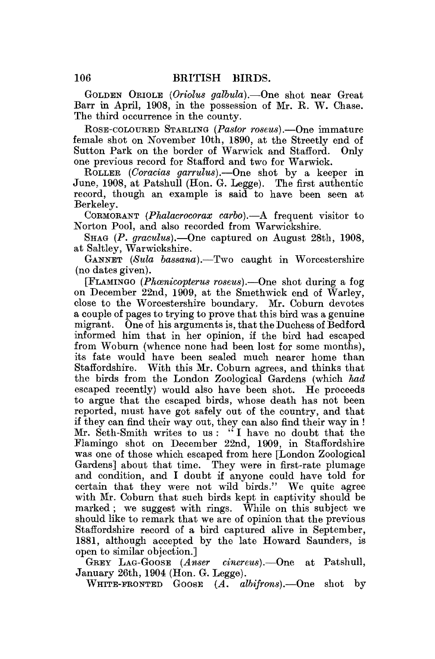GOLDEN ORIOLE *(Oriolus galbula).*—One shot near Great Barr in April, 1908, in the possession of Mr. R. W. Chase. The third occurrence in the county.

ROSE-COLOURED STABLING *(Pastor roseus).*—One immature female shot on November 10th, 1890, at the Streetly end of Sutton Park on the border of Warwick and Stafford. Only one previous record for Stafford and two for Warwick.

ROLLER *(Coracias garrulus).*—One shot by a keeper in June, 1908, at Patshull (Hon. G. Legge). The first authentic record, though an example is said to have been seen at Berkeley.

CORMORANT *(Phalacrocoraz carbo).*—A frequent visitor to Norton Pool, and also recorded from Warwickshire.

SHAG *(P. graculus).*—One captured on August 28th, 1908, at Saltley, Warwickshire.

GANNET (Sula bassana).—Two caught in Worcestershire (no dates given).

[FLAMINGO *(Phwnicopterus roseus).*—One shot during a fog on December 22nd, 1909, at the Smethwick end of Warley, close to the Worcestershire boundary. Mr. Coburn devotes a couple of pages to trying to prove that this bird was a genuine migrant. One of his arguments is, that the Duchess of Bedford informed him that in her opinion, if the bird had escaped from Woburn (whence none had been lost for some months), its fate would have been sealed much nearer home than Staffordshire. With this Mr. Coburn agrees, and thinks that the birds from the London Zoological Gardens (which *had*  escaped recently) would also have been shot. He proceeds to argue that the escaped birds, whose death has not been reported, must have got safely out of the country, and that if they can find their way out, they can also find their way in ! Mr. Seth-Smith writes to us : " I have no doubt that the Flamingo shot on December 22nd, 1909, in Staffordshire was one of those which escaped from here [London Zoological Gardens] about that time. They were in first-rate plumage and condition, and I doubt if anyone could have told for certain that they were not wild birds." We quite agree with Mr. Coburn that such birds kept in captivity should be marked ; we suggest with rings. While on this subject we should like to remark that we are of opinion that the previous Staffordshire record of a bird captured alive in September, 1881, although accepted by the late Howard Saunders, is open to similar objection.]

GREY LAG-GOOSE *(Anser cinereus).*—One at Patshull, January 26th, 1904 (Hon. G. Legge).

WHITE-FRONTED GOOSE *(A. albifrons).*—One shot by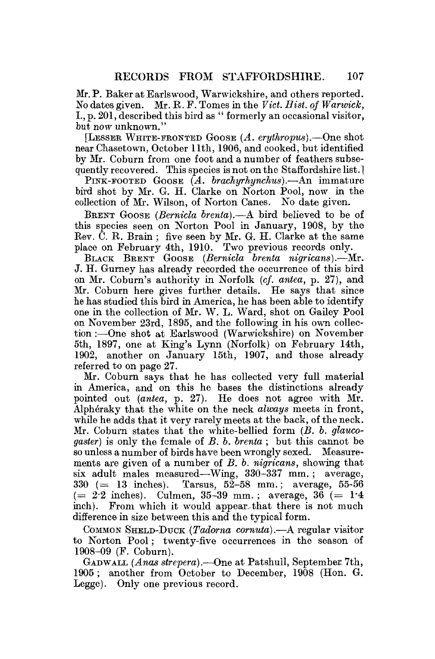Mr. P. Baker at Earlswood, Warwickshire, and others reported. No dates given. Mr. R. F. Tomes in the *Vict. Hist, of Warwick,*  L, p. 201, described this bird as " formerly an occasional visitor, but now unknown."

[LESSEE WHITE-FRONTED GOOSE *(A. erythropus).*—One shot near Chasetown, October 11th, 1906, and cooked, but identified by Mr. Coburn from one foot and a number of feathers subsequently recovered. This species is not on the Staffordshire list.]

PINK-FOOTED GOOSE *(A. brachyrhynchus).—*An immature bird shot by Mr. G. H. Clarke on Norton Pool, now in the collection of Mr. Wilson, of Norton Canes. No date given.

BRENT GOOSE *(Bemicla brenla).*—A bird believed to be of this species seen on Norton Pool in January, 1908, by the Rev. C. R. Brain ; five seen by Mr. G. H. Clarke at the same place on February 4th, 1910. Two previous records only.

BLACK BRENT GOOSE *(Bemicla brenta nigricans).*—Mr. J. H. Gurney has already recorded the occurrence of this bird on Mr. Coburn's authority in Norfolk *(cf. antea,* p. 27), and Mr. Coburn here gives further details. He says that since he has studied this bird in America, he has been able to identify one in the collection of Mr. W. L. Ward, shot on Gailey Pool on November 23rd, 1895, and the following in his own collection :—One shot at Earlswood (Warwickshire) on November 5th, 1897, one at King's Lynn (Norfolk) on February 14th, 1902, another on January 15th, 1907, and those already referred to on page 27.

Mr. Coburn says that he has collected very full material in America, and on this he bases the distinctions already pointed out *(antea,* p. 27). He does not agree with Mr. Alpheraky that the white on the neck *always* meets in front, while he adds that it very rarely meets at the back, of the neck. Mr. Coburn states that the white-bellied form *(B. b. glaucogaster)* is only the female of *B. b. brenta* ; but this cannot be so unless a number of birds have been wrongly sexed. Measurements are given of a number of *B. b. nigricans,* showing that six adult males measured—Wing, 330-337 mm. ; average,  $330 (= 13$  inches). Tarsus,  $52-58$  mm.; average,  $55-56$  $(= 2.2 \text{ inches}).$  Culmen, 35-39 mm.; average, 36  $(= 1.4 \text{ miles})$ inch). From which it would appear that there is not much difference in size between this and the typical form.

COMMON SHELD-DUCK *(Tadorna cornuta).—A* regular visitor to Norton Pool; twenty-five occurrences in the season of 1908-09 (F. Coburn).

GADWALL *(Anas strepera).*—One at Patshull, September 7th, 1905; another from October to December, 1908 (Hon. G. Legge). Only one previous record.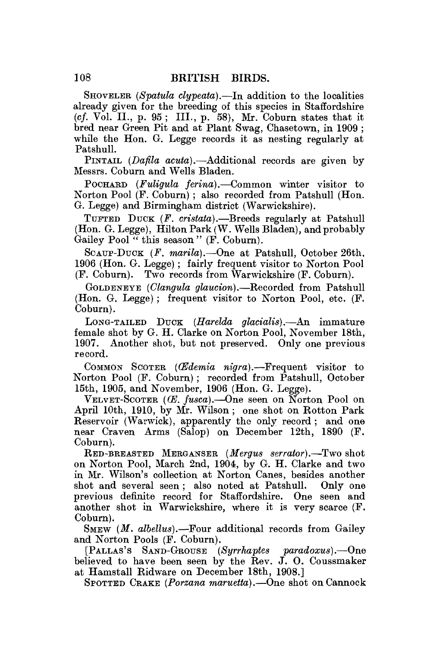SHOVBLEE *(Spatula clypeata).*—In addition to the localities already given for the breeding of this species in Staffordshire *(cf.* Vol. II., p. 95 ; III., p. 58), Mr. Coburn states that it bred near Green Pit and at Plant Swag, Chasetown, in 1909 ; while the Hon. G. Legge records it as nesting regularly at Patshull.

PINTAIL *(Dafila acuta).*—Additional records are given by Messrs. Coburn and Wells Bladen.

POCHARD *(Fuligula ferina).*—Common winter visitor to Norton Pool (P. Coburn) ; also recorded from Patshull (Hon. G. Legge) and Birmingham district (Warwickshire).

TUFTED DUCK *(F. cristata).*—Breeds regularly at Patshull (Hon. G. Legge), Hilton Park (W. Wells Bladen), and probably Gailey Pool<sup>74</sup> this season " (F. Coburn).

SCAUP-DUCK *(F. marila).*—One at Patshull, October 26th, 1906 (Hon. G. Legge) ; fairly frequent visitor to Norton Pool (P. Coburn). Two records from Warwickshire (F. Coburn).

GOLDENEYE *(Clangula glaucion).*—Recorded from Patshull (Hon. G. Legge) ; frequent visitor to Norton Pool, etc. (F. Coburn).

LONG-TAILED DUCK *(Harelda glacialis).*—An immature female shot by G. H. Clarke on Norton Pool, November 18th, 1907. Another shot, but not preserved. Only one previous record.

COMMON SCOTER *(CEdemia nigra).*—Frequent visitor to Norton Pool (F. Coburn); recorded from Patshull, October 15th, 1905, and November, 1906 (Hon. G. Legge).

VELVET-SCOTER (*CE. fusca*).—One seen on Norton Pool on April 10th, 1910, by Mr. Wilson ; one shot on Rotton Park Reservoir (Warwick), apparently the only record ; and one near Craven Arms (Salop) on December 12th, 1890 (F. Coburn).

RED-BREASTED MERGANSER *(Mergus serrator).*—Two shot on Norton Pool, March 2nd, 1904, by G. H. Clarke and two in Mr. Wilson's collection at Norton Canes, besides another shot and several seen ; also noted at Patshull. Only one previous definite record for Staffordshire. One seen and another shot in Warwickshire, where it is very scarce (F. Coburn).

SMEW *(M. albellus).*—Four additional records from Gailey and Norton Pools (F. Coburn).

[PALLAS'S SAND-GROUSE *(Syrrhaptes paradoxus).*—One believed to have been seen by the Rev. J. O. Coussmaker at Hamstall Ridware on December 18th, 1908.]

SPOTTED CRAKE *(Porzana maruetta).*—One shot on Cannock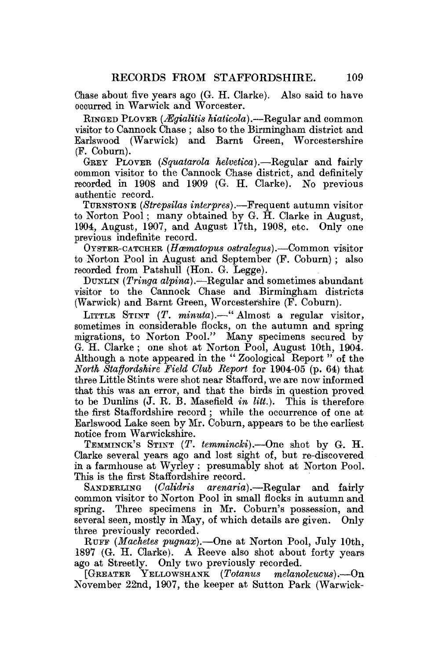Chase about five years ago (G. H. Clarke). Also said to have occurred in Warwick and Worcester.

RINGED PLOVER *(Mgialitis hiaticola).*—Regular and common visitor to Cannock Chase ; also to the Birmingham district and Earlswood (Warwick) and Barnt Green, Worcestershire (P. Coburn).

GREY PLOVER *(Squatarola helvetica).*—Regular and fairly common visitor to the Cannock Chase district, and definitely recorded in 1908 and 1909 (G. H. Clarke). No previous authentic record.

TURNSTONE *(Strepsilas interpres).*—Frequent autumn visitor to Norton Pool; many obtained by G. H. Clarke in August, 1904, August, 1907, and August 17th, 1908, etc. Only one previous indefinite record.

OYSTER-CATCHER *(Hcematopus ostralegus).*—Common visitor to Norton Pool in August and September (F. Coburn) ; also recorded from Patshull (Hon. G. Legge).

DUNLIN *(Tringa alpina).—*Regular and sometimes abundant visitor to the Cannock Chase and Birmingham districts (Warwick) and Barnt Green, Worcestershire (F. Coburn).

LITTLE STINT (T. minuta).—" Almost a regular visitor, sometimes in considerable flocks, on the autumn and spring migrations, to Norton Pool." Many specimens secured by G. H. Clarke ; one shot at Norton Pool, August 10th, 1904. Although a note appeared in the " Zoological Report " of the *North Staffordshire Field Clvh Report* for 1904-05 (p. 64) that three Little Stints were shot near Stafford, we are now informed that this was an error, and that the birds in question proved to be Dunlins (J. R. B. Masefield *in litt.*). This is therefore the first Staffordshire record ; while the occurrence of one at Earlswood Lake seen by Mr. Coburn, appears to be the earliest notice from Warwickshire.

TEMMINCK'S STINT *(T. temmincki).*—One shot by G. H. Clarke several years ago and lost sight of, but re-discovered in a farmhouse at Wyrley : presumably shot at Norton Pool. This is the first Staffordshire record.

SANDERLING *(Oalidris arenaria),*—Regular and fairly common visitor to Norton Pool in small flocks in autumn and spring. Three specimens in Mr. Coburn's possession, and several seen, mostly in May, of which details are given. Only three previously recorded.

RUFF *(Machetes pugnax).*—One at Norton Pool, July 10th, 1897 (G. H. Clarke). A Reeve also shot about forty years ago at Streetly. Only two previously recorded.

[GREATER YELLOWSHANK *(Totanus melanoleucus).*—On November 22nd, 1907, the keeper at Sutton Park (Warwick-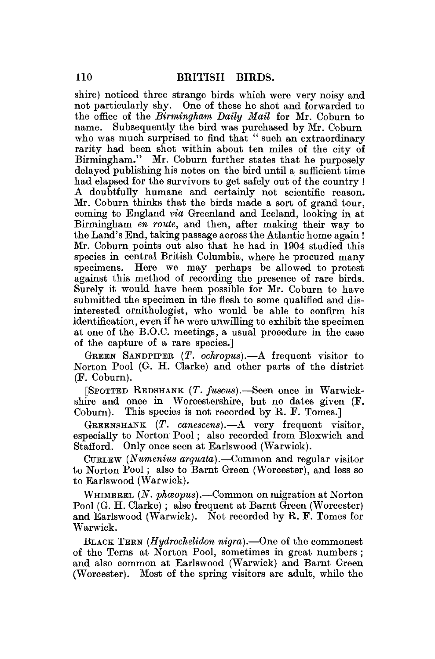shire) noticed three strange birds which were very noisy and not particularly shy. One of these he shot and forwarded to the office of the *Birmingham Daily Mail* for Mr. Coburn to name. Subsequently the bird was purchased by Mr. Coburn who was much surprised to find that " such an extraordinary rarity had been shot within about ten miles of the city of Birmingham." Mr. Coburn further states that he purposely delayed publishing his notes on the bird until a sufficient time had elapsed for the survivors to get safely out of the country ! A doubtfully humane and certainly not scientific reason. Mr. Coburn thinks that the birds made a sort of grand tour, coming to England *via* Greenland and Iceland, looking in at Birmingham *en route,* and then, after making their way to the Land's End, taking passage across the Atlantic home again ! Mr. Coburn points out also that he had in 1904 studied this species in central British Columbia, where he procured many specimens. Here we may perhaps be allowed to protest against this method of recording the presence of rare birds. Surely it would have been possible for Mr. Coburn to have submitted the specimen in the flesh to some qualified and disinterested ornithologist, who would be able to confirm his identification, even if he were unwilling to exhibit the specimen at one of the B.O.C. meetings, a usual procedure in the case of the capture of a rare species.]

GREEN SANDPIPER *(T. ochropus).*—A frequent visitor to Norton Pool (G. H. Clarke) and other parts of the district (F. Coburn).

[SPOTTED REDSHANK *(T. fuscus).*—Seen once in Warwickshire and once in Worcestershire, but no dates given (F. Coburn). This species is not recorded by R. F. Tomes. This species is not recorded by R. F. Tomes.]

GREENSHANK *(T. canescens).*—A very frequent visitor, especially to Norton Pool; also recorded from Bloxwich and Stafford. Only once seen at Earlswood (Warwick).

CURLEW *(Numenius arquata).*—Common and regular visitor to Norton Pool; also to Barnt Green (Worcester), and less so to Earlswood (Warwick).

WHIMBREL *(N. photopus)*.—Common on migration at Norton Pool (G. H. Clarke) ; also frequent at Barnt Green (Worcester) and Earlswood (Warwick). Not recorded by R. F. Tomes for Warwick.

BLACK TERN *(Hydrochelidon nigra).*—One of the commonest of the Terns at Norton Pool, sometimes in great numbers ; and also common at Earlswood (Warwick) and Barnt Green (Worcester). Most of the spring visitors are adult, while the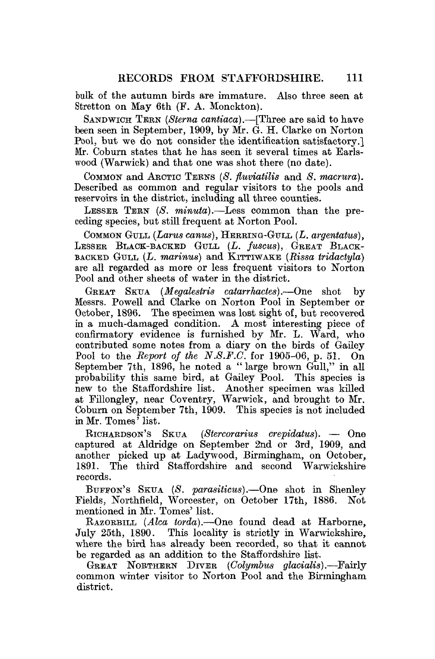bulk of the autumn birds are immature. Also three seen at Stretton on May 6th (F. A. Monckton).

SANDWICH TERN (Sterna cantiaca).—[Three are said to have been seen in September, 1909, by Mr. G. H. Clarke on Norton Pool, but we do not consider the identification satisfactory.] Mr. Coburn states that he has seen it several times at Earlswood (Warwick) and that one was shot there (no date).

COMMON and ARCTIC TERNS (S. fluviatilis and S. macrura). Described as common and regular visitors to the pools and reservoirs in the district, including all three counties.

LESSER TEEN *{S. minuta).*—Less common than the preceding species, but still frequent at Norton Pool.

COMMON GULL *(Larus canus)*, HERRING-GULL *(L. argentatus)*, LESSER BLACK-BACKED GULL (L. fuscus), GREAT BLACK-BACKED GULL *(L. marinus)* and KITTIWAKE *(Rissa tridactyla)*  are all regarded as more or less frequent visitors to Norton Pool and other sheets of water in the district.

GREAT SKUA *(Megalesiris catarrhactes).*—One shot by Messrs. Powell and Clarke on Norton Pool in September or October, 1896. The specimen was lost sight of, but recovered in a much-damaged condition. A most interesting piece of confirmatory evidence is furnished by Mr. L. Ward, who contributed some notes from a diary on the birds of Gailey Pool to the *Report of the N.S.F.C.* for 1905-06, p. 51. On September 7th, 1896, he noted a "large brown Gull," in all probability this same bird, at Gailey Pool. This species is new to the Staffordshire list. Another specimen was killed at Fillongley, near Coventry, Warwick, and brought to Mr. Coburn on September 7th, 1909. This species is not included in Mr. Tomes' list.

RICHARDSON'S SKUA *(Stercorarius crepidatus).* — One captured at Aldridge on September 2nd or 3rd, 1909, and another picked up at Ladywood, Birmingham, on October, 1891. The third Staffordshire and second Warwickshire records.

BUEEON'S SKUA *(S. parasiticus),*—One shot in Shenley Fields, Northfield, Worcester, on October 17th, 1886. Not mentioned in Mr. Tomes' list.

RAZORBILL (*Alca torda*).—One found dead at Harborne, July 25th, 1890. This locality is strictly in Warwickshire. This locality is strictly in Warwickshire. where the bird has already been recorded, so that it cannot be regarded as an addition to the Staffordshire list.

GREAT NOETHEEN DIVEE *(Golymbus glacialis).*—Fairly common winter visitor to Norton Pool and the Birmingham district.